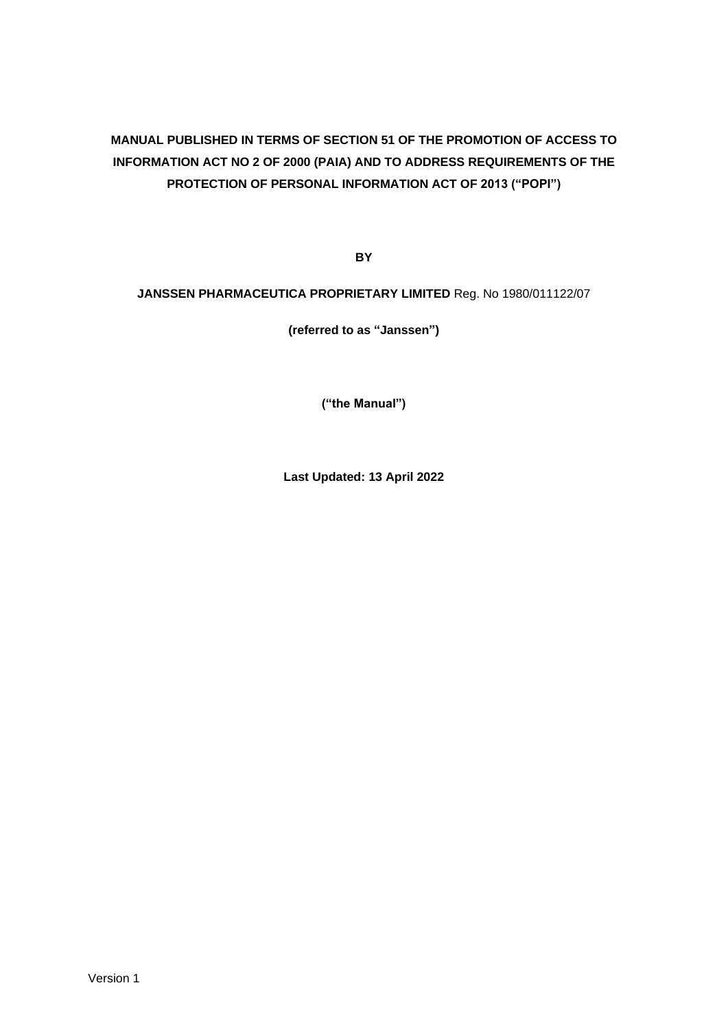# **MANUAL PUBLISHED IN TERMS OF SECTION 51 OF THE PROMOTION OF ACCESS TO INFORMATION ACT NO 2 OF 2000 (PAIA) AND TO ADDRESS REQUIREMENTS OF THE PROTECTION OF PERSONAL INFORMATION ACT OF 2013 ("POPI")**

**BY**

## **JANSSEN PHARMACEUTICA PROPRIETARY LIMITED** Reg. No 1980/011122/07

**(referred to as "Janssen")**

**("the Manual")**

**Last Updated: 13 April 2022**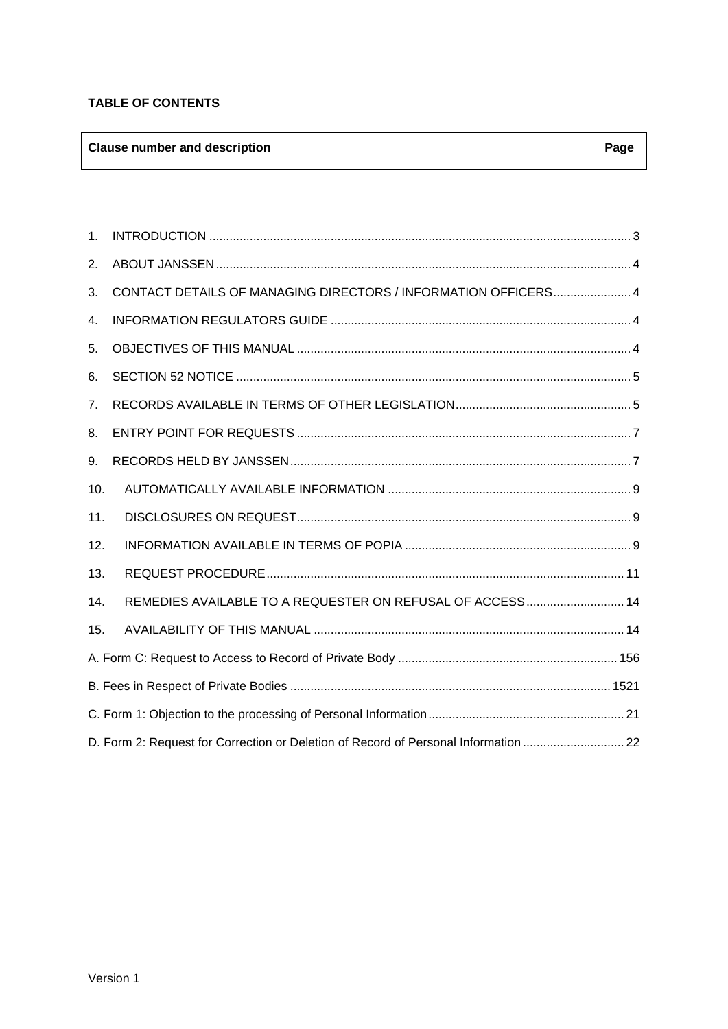## **TABLE OF CONTENTS**

## **Clause number and description Page**

| 1.  |                                                                                     |  |
|-----|-------------------------------------------------------------------------------------|--|
| 2.  |                                                                                     |  |
| 3.  | CONTACT DETAILS OF MANAGING DIRECTORS / INFORMATION OFFICERS 4                      |  |
| 4.  |                                                                                     |  |
| 5.  |                                                                                     |  |
| 6.  |                                                                                     |  |
| 7.  |                                                                                     |  |
| 8.  |                                                                                     |  |
| 9.  |                                                                                     |  |
| 10. |                                                                                     |  |
| 11. |                                                                                     |  |
| 12. |                                                                                     |  |
| 13. |                                                                                     |  |
| 14. | REMEDIES AVAILABLE TO A REQUESTER ON REFUSAL OF ACCESS 14                           |  |
| 15. |                                                                                     |  |
|     |                                                                                     |  |
|     |                                                                                     |  |
|     |                                                                                     |  |
|     | D. Form 2: Request for Correction or Deletion of Record of Personal Information  22 |  |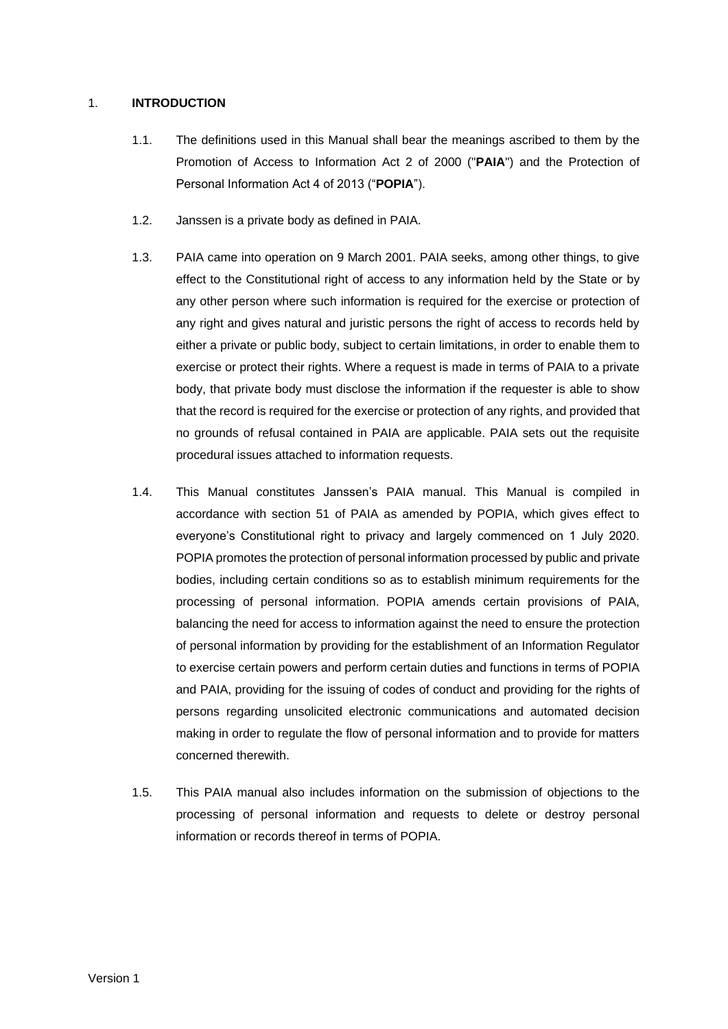## <span id="page-2-0"></span>1. **INTRODUCTION**

- 1.1. The definitions used in this Manual shall bear the meanings ascribed to them by the Promotion of Access to Information Act 2 of 2000 ("**PAIA**") and the Protection of Personal Information Act 4 of 2013 ("**POPIA**").
- 1.2. Janssen is a private body as defined in PAIA.
- 1.3. PAIA came into operation on 9 March 2001. PAIA seeks, among other things, to give effect to the Constitutional right of access to any information held by the State or by any other person where such information is required for the exercise or protection of any right and gives natural and juristic persons the right of access to records held by either a private or public body, subject to certain limitations, in order to enable them to exercise or protect their rights. Where a request is made in terms of PAIA to a private body, that private body must disclose the information if the requester is able to show that the record is required for the exercise or protection of any rights, and provided that no grounds of refusal contained in PAIA are applicable. PAIA sets out the requisite procedural issues attached to information requests.
- 1.4. This Manual constitutes Janssen's PAIA manual. This Manual is compiled in accordance with section 51 of PAIA as amended by POPIA, which gives effect to everyone's Constitutional right to privacy and largely commenced on 1 July 2020. POPIA promotes the protection of personal information processed by public and private bodies, including certain conditions so as to establish minimum requirements for the processing of personal information. POPIA amends certain provisions of PAIA, balancing the need for access to information against the need to ensure the protection of personal information by providing for the establishment of an Information Regulator to exercise certain powers and perform certain duties and functions in terms of POPIA and PAIA, providing for the issuing of codes of conduct and providing for the rights of persons regarding unsolicited electronic communications and automated decision making in order to regulate the flow of personal information and to provide for matters concerned therewith.
- 1.5. This PAIA manual also includes information on the submission of objections to the processing of personal information and requests to delete or destroy personal information or records thereof in terms of POPIA.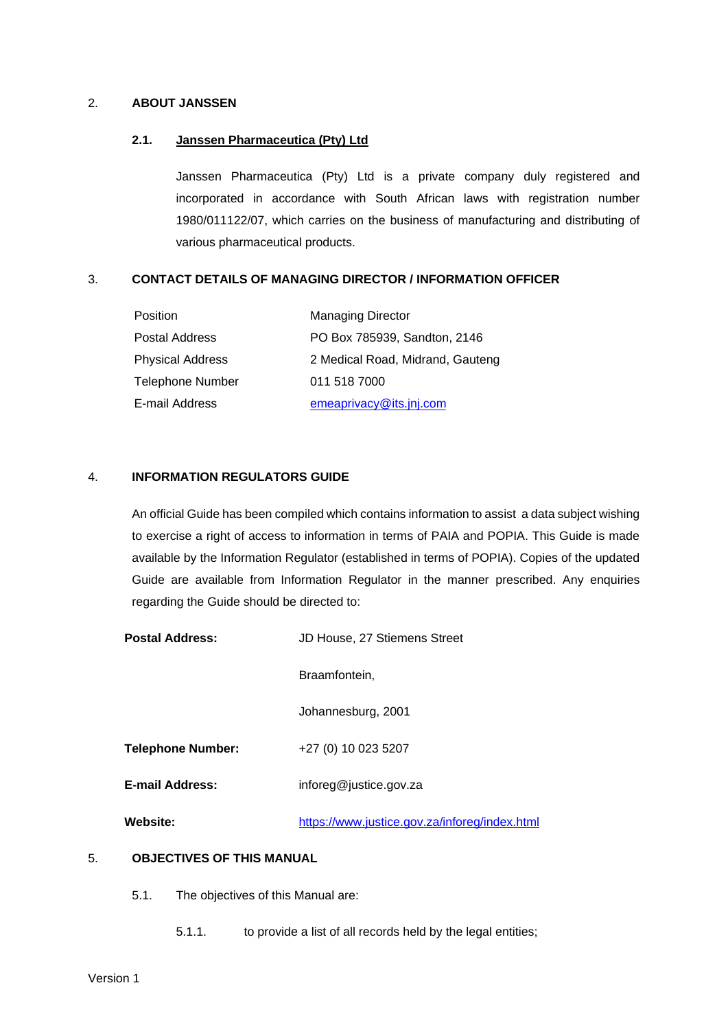## <span id="page-3-0"></span>2. **ABOUT JANSSEN**

#### **2.1. Janssen Pharmaceutica (Pty) Ltd**

Janssen Pharmaceutica (Pty) Ltd is a private company duly registered and incorporated in accordance with South African laws with registration number 1980/011122/07, which carries on the business of manufacturing and distributing of various pharmaceutical products.

#### <span id="page-3-1"></span>3. **CONTACT DETAILS OF MANAGING DIRECTOR / INFORMATION OFFICER**

| <b>Position</b>         | <b>Managing Director</b>         |
|-------------------------|----------------------------------|
| Postal Address          | PO Box 785939, Sandton, 2146     |
| <b>Physical Address</b> | 2 Medical Road, Midrand, Gauteng |
| Telephone Number        | 011 518 7000                     |
| E-mail Address          | emeaprivacy@its.jnj.com          |

#### <span id="page-3-2"></span>4. **INFORMATION REGULATORS GUIDE**

An official Guide has been compiled which contains information to assist a data subject wishing to exercise a right of access to information in terms of PAIA and POPIA. This Guide is made available by the Information Regulator (established in terms of POPIA). Copies of the updated Guide are available from Information Regulator in the manner prescribed. Any enquiries regarding the Guide should be directed to:

| <b>Postal Address:</b>   | JD House, 27 Stiemens Street                  |
|--------------------------|-----------------------------------------------|
|                          | Braamfontein.                                 |
|                          | Johannesburg, 2001                            |
| <b>Telephone Number:</b> | +27 (0) 10 023 5207                           |
| <b>E-mail Address:</b>   | inforeg@justice.gov.za                        |
| Website:                 | https://www.justice.gov.za/inforeg/index.html |

#### <span id="page-3-3"></span>5. **OBJECTIVES OF THIS MANUAL**

- 5.1. The objectives of this Manual are:
	- 5.1.1. to provide a list of all records held by the legal entities;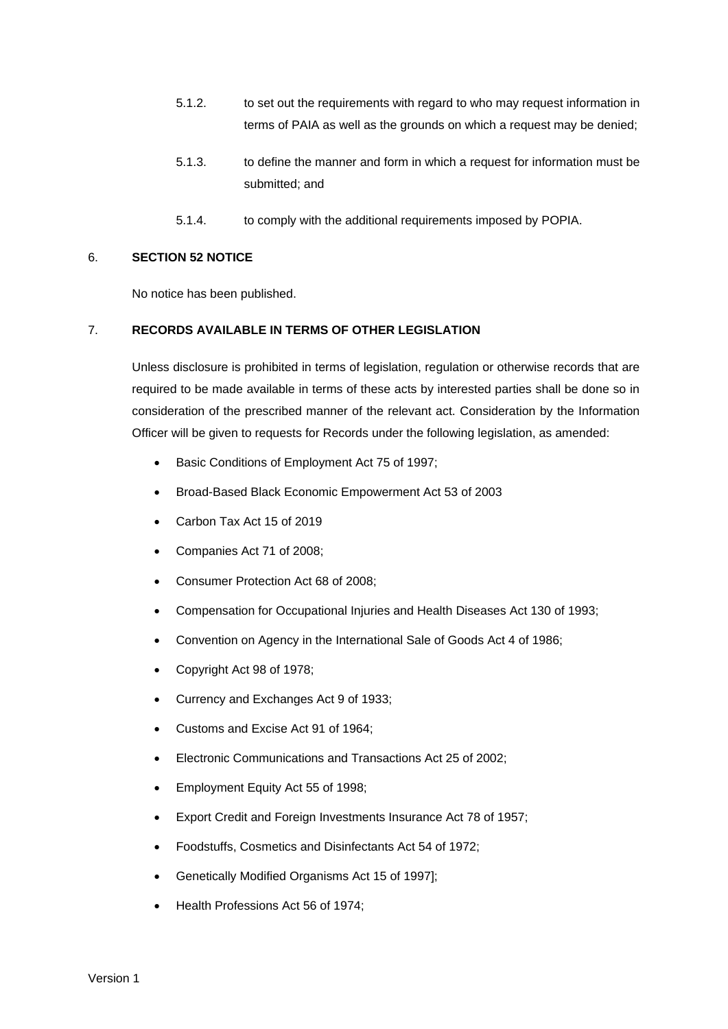- 5.1.2. to set out the requirements with regard to who may request information in terms of PAIA as well as the grounds on which a request may be denied;
- 5.1.3. to define the manner and form in which a request for information must be submitted; and
- 5.1.4. to comply with the additional requirements imposed by POPIA.

### <span id="page-4-0"></span>6. **SECTION 52 NOTICE**

No notice has been published.

### <span id="page-4-1"></span>7. **RECORDS AVAILABLE IN TERMS OF OTHER LEGISLATION**

Unless disclosure is prohibited in terms of legislation, regulation or otherwise records that are required to be made available in terms of these acts by interested parties shall be done so in consideration of the prescribed manner of the relevant act. Consideration by the Information Officer will be given to requests for Records under the following legislation, as amended:

- Basic Conditions of Employment Act 75 of 1997;
- Broad-Based Black Economic Empowerment Act 53 of 2003
- Carbon Tax Act 15 of 2019
- Companies Act 71 of 2008;
- Consumer Protection Act 68 of 2008;
- Compensation for Occupational Injuries and Health Diseases Act 130 of 1993;
- Convention on Agency in the International Sale of Goods Act 4 of 1986;
- Copyright Act 98 of 1978;
- Currency and Exchanges Act 9 of 1933;
- Customs and Excise Act 91 of 1964;
- Electronic Communications and Transactions Act 25 of 2002;
- Employment Equity Act 55 of 1998;
- Export Credit and Foreign Investments Insurance Act 78 of 1957;
- Foodstuffs, Cosmetics and Disinfectants Act 54 of 1972;
- Genetically Modified Organisms Act 15 of 1997];
- Health Professions Act 56 of 1974;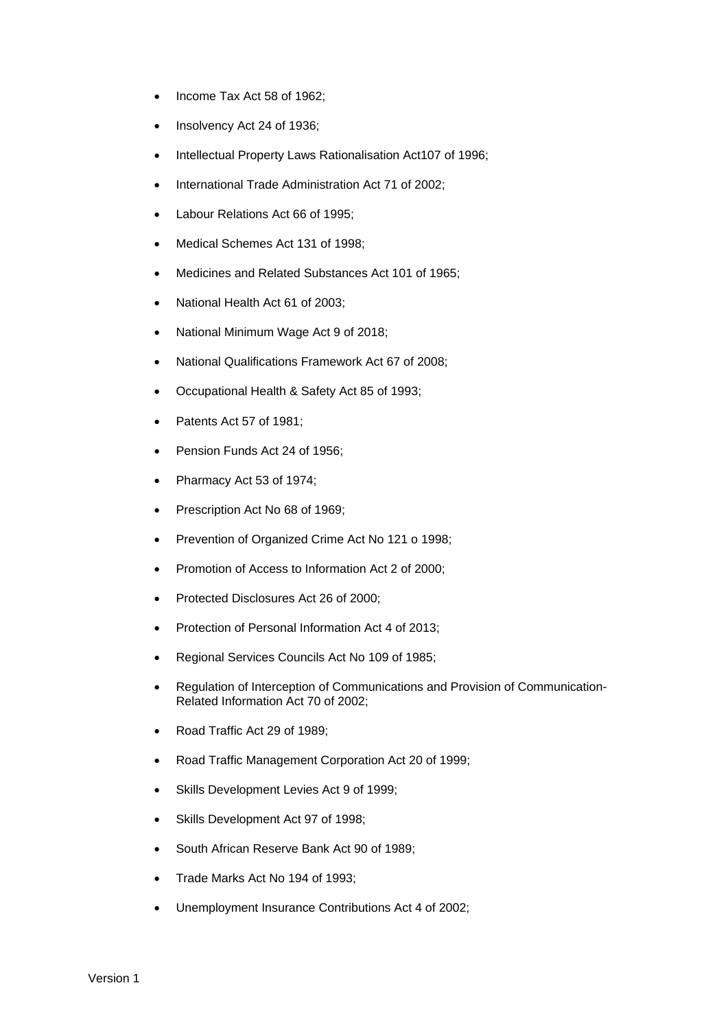- Income Tax Act 58 of 1962;
- Insolvency Act 24 of 1936;
- Intellectual Property Laws Rationalisation Act107 of 1996;
- International Trade Administration Act 71 of 2002;
- Labour Relations Act 66 of 1995;
- Medical Schemes Act 131 of 1998;
- Medicines and Related Substances Act 101 of 1965;
- National Health Act 61 of 2003;
- National Minimum Wage Act 9 of 2018;
- National Qualifications Framework Act 67 of 2008;
- Occupational Health & Safety Act 85 of 1993;
- Patents Act 57 of 1981;
- Pension Funds Act 24 of 1956;
- Pharmacy Act 53 of 1974;
- Prescription Act No 68 of 1969;
- Prevention of Organized Crime Act No 121 o 1998;
- Promotion of Access to Information Act 2 of 2000;
- Protected Disclosures Act 26 of 2000;
- Protection of Personal Information Act 4 of 2013;
- Regional Services Councils Act No 109 of 1985;
- Regulation of Interception of Communications and Provision of Communication-Related Information Act 70 of 2002;
- Road Traffic Act 29 of 1989;
- Road Traffic Management Corporation Act 20 of 1999;
- Skills Development Levies Act 9 of 1999;
- Skills Development Act 97 of 1998;
- South African Reserve Bank Act 90 of 1989;
- Trade Marks Act No 194 of 1993;
- Unemployment Insurance Contributions Act 4 of 2002;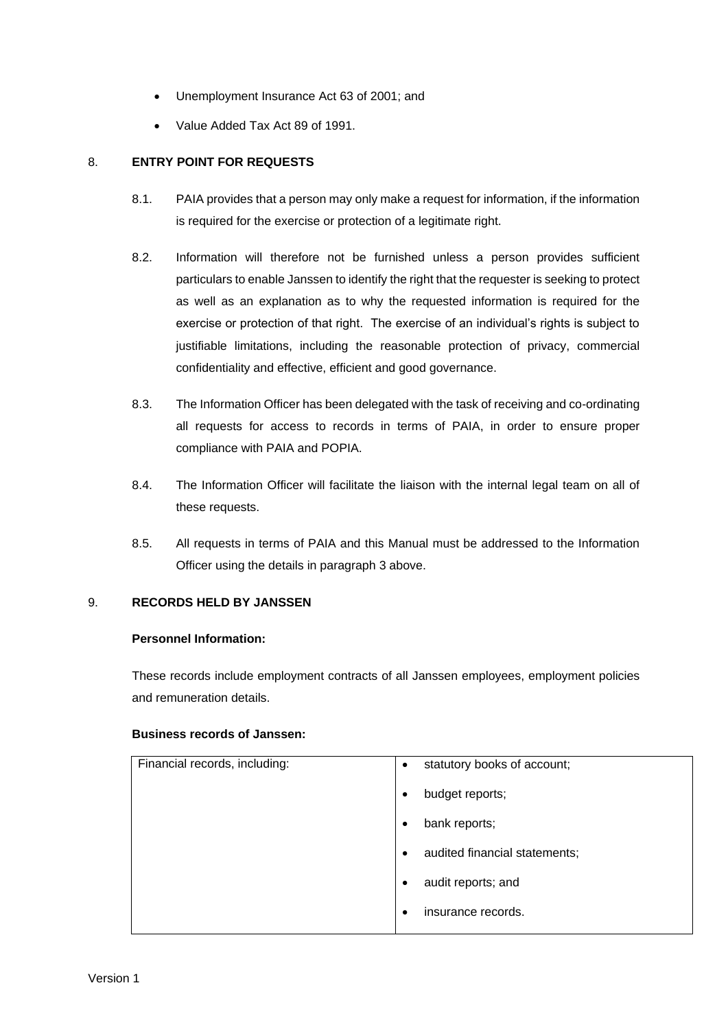- Unemployment Insurance Act 63 of 2001; and
- Value Added Tax Act 89 of 1991.

## <span id="page-6-0"></span>8. **ENTRY POINT FOR REQUESTS**

- 8.1. PAIA provides that a person may only make a request for information, if the information is required for the exercise or protection of a legitimate right.
- 8.2. Information will therefore not be furnished unless a person provides sufficient particulars to enable Janssen to identify the right that the requester is seeking to protect as well as an explanation as to why the requested information is required for the exercise or protection of that right. The exercise of an individual's rights is subject to justifiable limitations, including the reasonable protection of privacy, commercial confidentiality and effective, efficient and good governance.
- 8.3. The Information Officer has been delegated with the task of receiving and co-ordinating all requests for access to records in terms of PAIA, in order to ensure proper compliance with PAIA and POPIA.
- 8.4. The Information Officer will facilitate the liaison with the internal legal team on all of these requests.
- 8.5. All requests in terms of PAIA and this Manual must be addressed to the Information Officer using the details in paragraph 3 above.

## <span id="page-6-1"></span>9. **RECORDS HELD BY JANSSEN**

### **Personnel Information:**

These records include employment contracts of all Janssen employees, employment policies and remuneration details.

#### **Business records of Janssen:**

| Financial records, including: | statutory books of account;<br>$\bullet$   |
|-------------------------------|--------------------------------------------|
|                               | budget reports;<br>$\bullet$               |
|                               | bank reports;<br>٠                         |
|                               | audited financial statements;<br>$\bullet$ |
|                               | audit reports; and<br>٠                    |
|                               | insurance records.<br>٠                    |
|                               |                                            |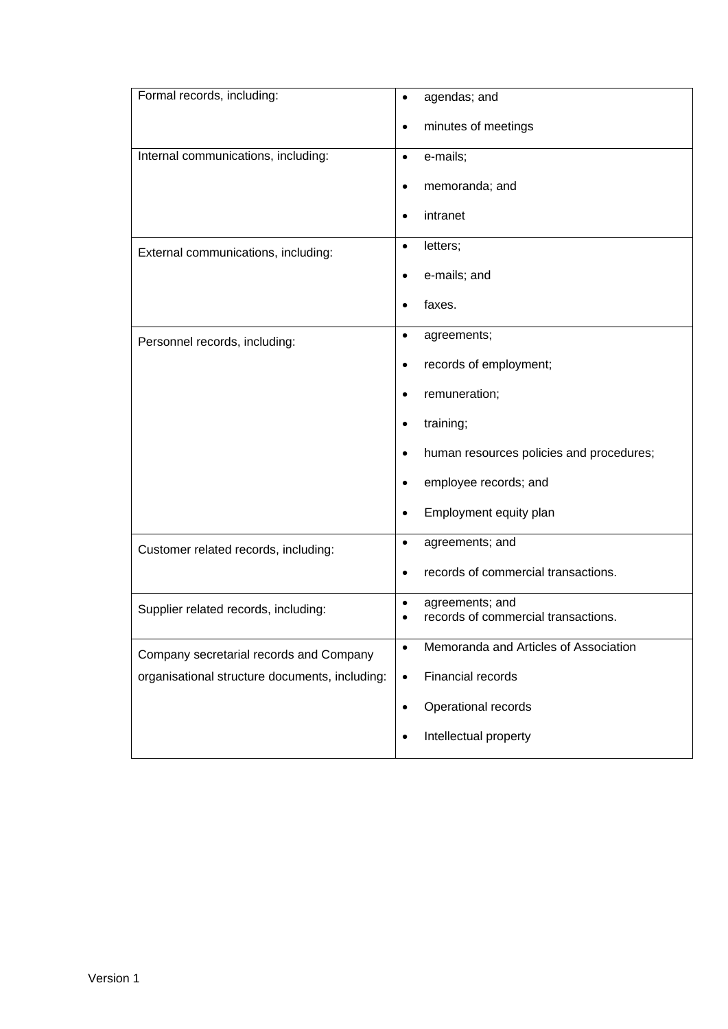| Formal records, including:                     | agendas; and<br>$\bullet$                             |
|------------------------------------------------|-------------------------------------------------------|
|                                                | minutes of meetings<br>$\bullet$                      |
| Internal communications, including:            | e-mails;<br>$\bullet$                                 |
|                                                | memoranda; and<br>$\bullet$                           |
|                                                | intranet<br>$\bullet$                                 |
| External communications, including:            | letters;<br>$\bullet$                                 |
|                                                | e-mails; and<br>$\bullet$                             |
|                                                | faxes.<br>$\bullet$                                   |
| Personnel records, including:                  | agreements;<br>$\bullet$                              |
|                                                | records of employment;<br>$\bullet$                   |
|                                                | remuneration;<br>$\bullet$                            |
|                                                | training;<br>$\bullet$                                |
|                                                | human resources policies and procedures;<br>$\bullet$ |
|                                                | employee records; and                                 |
|                                                | Employment equity plan<br>$\bullet$                   |
| Customer related records, including:           | agreements; and<br>$\bullet$                          |
|                                                | records of commercial transactions.<br>$\bullet$      |
| Supplier related records, including:           | agreements; and<br>$\bullet$                          |
|                                                | records of commercial transactions.<br>٠              |
| Company secretarial records and Company        | Memoranda and Articles of Association<br>$\bullet$    |
| organisational structure documents, including: | Financial records<br>$\bullet$                        |
|                                                | Operational records<br>$\bullet$                      |
|                                                | Intellectual property<br>$\bullet$                    |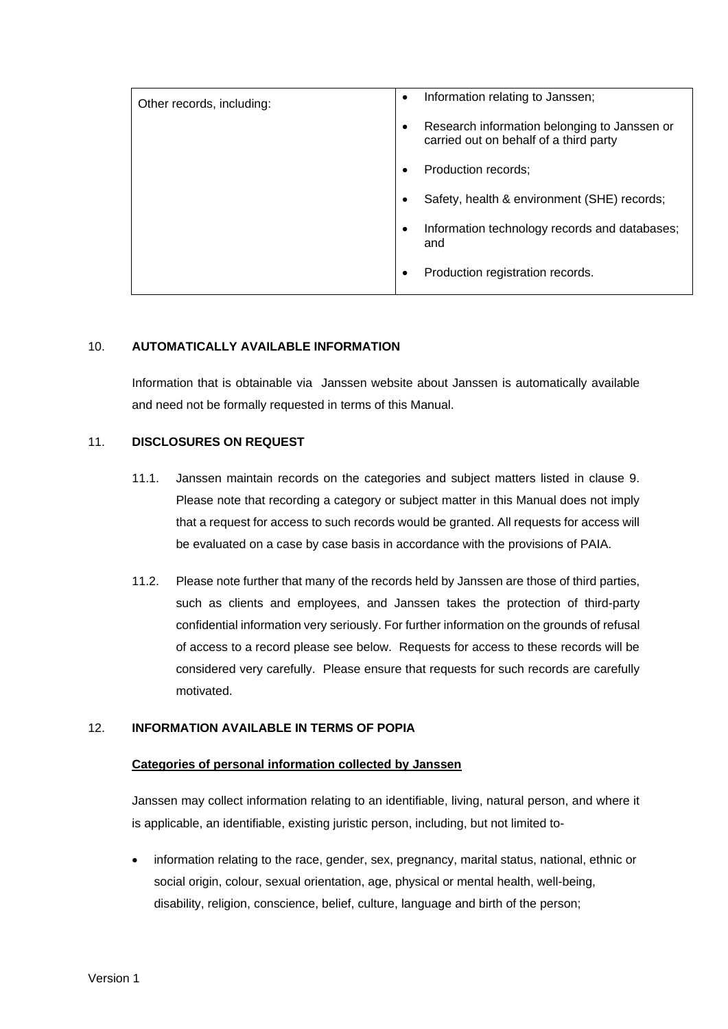| Other records, including: | Information relating to Janssen;<br>$\bullet$                                                       |  |
|---------------------------|-----------------------------------------------------------------------------------------------------|--|
|                           | Research information belonging to Janssen or<br>$\bullet$<br>carried out on behalf of a third party |  |
|                           | Production records;<br>٠                                                                            |  |
|                           | Safety, health & environment (SHE) records;<br>$\bullet$                                            |  |
|                           | Information technology records and databases;<br>$\bullet$<br>and                                   |  |
|                           | Production registration records.<br>$\bullet$                                                       |  |

## <span id="page-8-0"></span>10. **AUTOMATICALLY AVAILABLE INFORMATION**

Information that is obtainable via Janssen website about Janssen is automatically available and need not be formally requested in terms of this Manual.

## <span id="page-8-1"></span>11. **DISCLOSURES ON REQUEST**

- 11.1. Janssen maintain records on the categories and subject matters listed in clause 9. Please note that recording a category or subject matter in this Manual does not imply that a request for access to such records would be granted. All requests for access will be evaluated on a case by case basis in accordance with the provisions of PAIA.
- 11.2. Please note further that many of the records held by Janssen are those of third parties, such as clients and employees, and Janssen takes the protection of third-party confidential information very seriously. For further information on the grounds of refusal of access to a record please see below. Requests for access to these records will be considered very carefully. Please ensure that requests for such records are carefully motivated.

### <span id="page-8-2"></span>12. **INFORMATION AVAILABLE IN TERMS OF POPIA**

### **Categories of personal information collected by Janssen**

Janssen may collect information relating to an identifiable, living, natural person, and where it is applicable, an identifiable, existing juristic person, including, but not limited to-

• information relating to the race, gender, sex, pregnancy, marital status, national, ethnic or social origin, colour, sexual orientation, age, physical or mental health, well-being, disability, religion, conscience, belief, culture, language and birth of the person;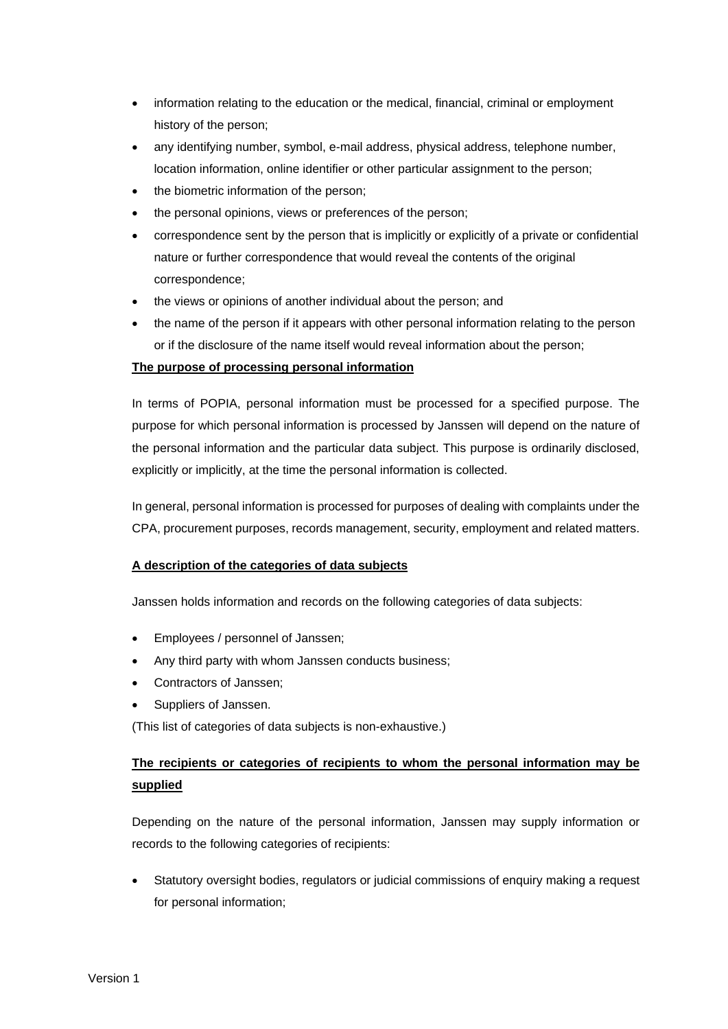- information relating to the education or the medical, financial, criminal or employment history of the person;
- any identifying number, symbol, e-mail address, physical address, telephone number, location information, online identifier or other particular assignment to the person;
- the biometric information of the person;
- the personal opinions, views or preferences of the person;
- correspondence sent by the person that is implicitly or explicitly of a private or confidential nature or further correspondence that would reveal the contents of the original correspondence;
- the views or opinions of another individual about the person; and
- the name of the person if it appears with other personal information relating to the person or if the disclosure of the name itself would reveal information about the person;

## **The purpose of processing personal information**

In terms of POPIA, personal information must be processed for a specified purpose. The purpose for which personal information is processed by Janssen will depend on the nature of the personal information and the particular data subject. This purpose is ordinarily disclosed, explicitly or implicitly, at the time the personal information is collected.

In general, personal information is processed for purposes of dealing with complaints under the CPA, procurement purposes, records management, security, employment and related matters.

## **A description of the categories of data subjects**

Janssen holds information and records on the following categories of data subjects:

- Employees / personnel of Janssen;
- Any third party with whom Janssen conducts business;
- Contractors of Janssen;
- Suppliers of Janssen.

(This list of categories of data subjects is non-exhaustive.)

## **The recipients or categories of recipients to whom the personal information may be supplied**

Depending on the nature of the personal information, Janssen may supply information or records to the following categories of recipients:

• Statutory oversight bodies, regulators or judicial commissions of enquiry making a request for personal information;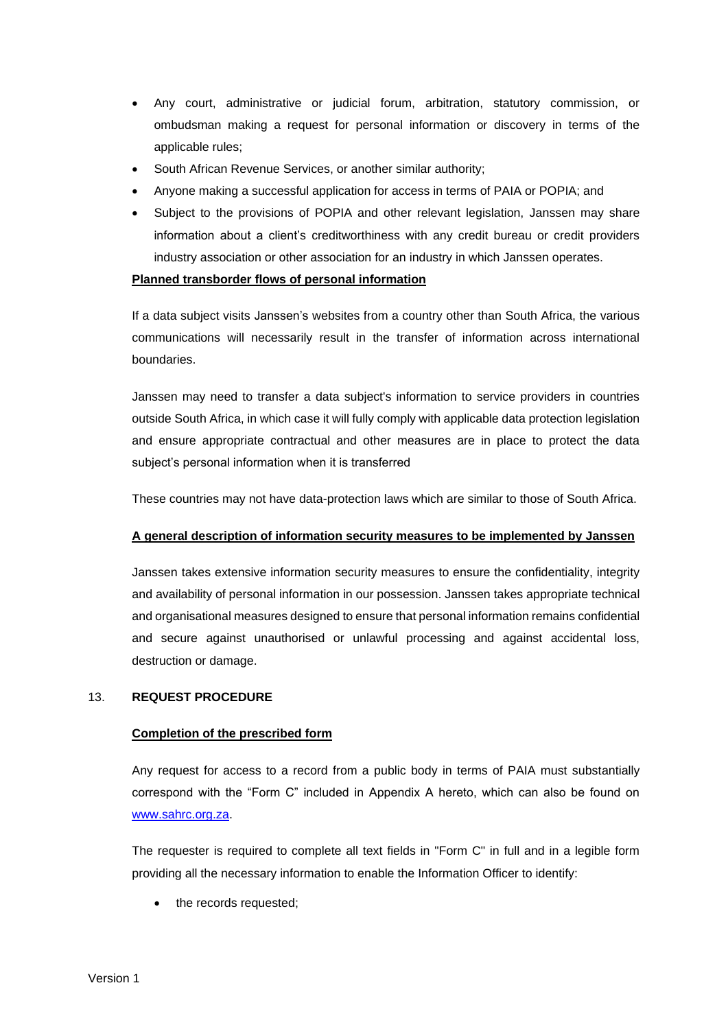- Any court, administrative or judicial forum, arbitration, statutory commission, or ombudsman making a request for personal information or discovery in terms of the applicable rules;
- South African Revenue Services, or another similar authority;
- Anyone making a successful application for access in terms of PAIA or POPIA; and
- Subject to the provisions of POPIA and other relevant legislation, Janssen may share information about a client's creditworthiness with any credit bureau or credit providers industry association or other association for an industry in which Janssen operates.

### **Planned transborder flows of personal information**

If a data subject visits Janssen's websites from a country other than South Africa, the various communications will necessarily result in the transfer of information across international boundaries.

Janssen may need to transfer a data subject's information to service providers in countries outside South Africa, in which case it will fully comply with applicable data protection legislation and ensure appropriate contractual and other measures are in place to protect the data subject's personal information when it is transferred

These countries may not have data-protection laws which are similar to those of South Africa.

### **A general description of information security measures to be implemented by Janssen**

Janssen takes extensive information security measures to ensure the confidentiality, integrity and availability of personal information in our possession. Janssen takes appropriate technical and organisational measures designed to ensure that personal information remains confidential and secure against unauthorised or unlawful processing and against accidental loss, destruction or damage.

### <span id="page-10-0"></span>13. **REQUEST PROCEDURE**

#### **Completion of the prescribed form**

Any request for access to a record from a public body in terms of PAIA must substantially correspond with the "Form C" included in Appendix A hereto, which can also be found on [www.sahrc.org.za.](http://www.sahrc.org.za/)

The requester is required to complete all text fields in "Form C" in full and in a legible form providing all the necessary information to enable the Information Officer to identify:

the records requested;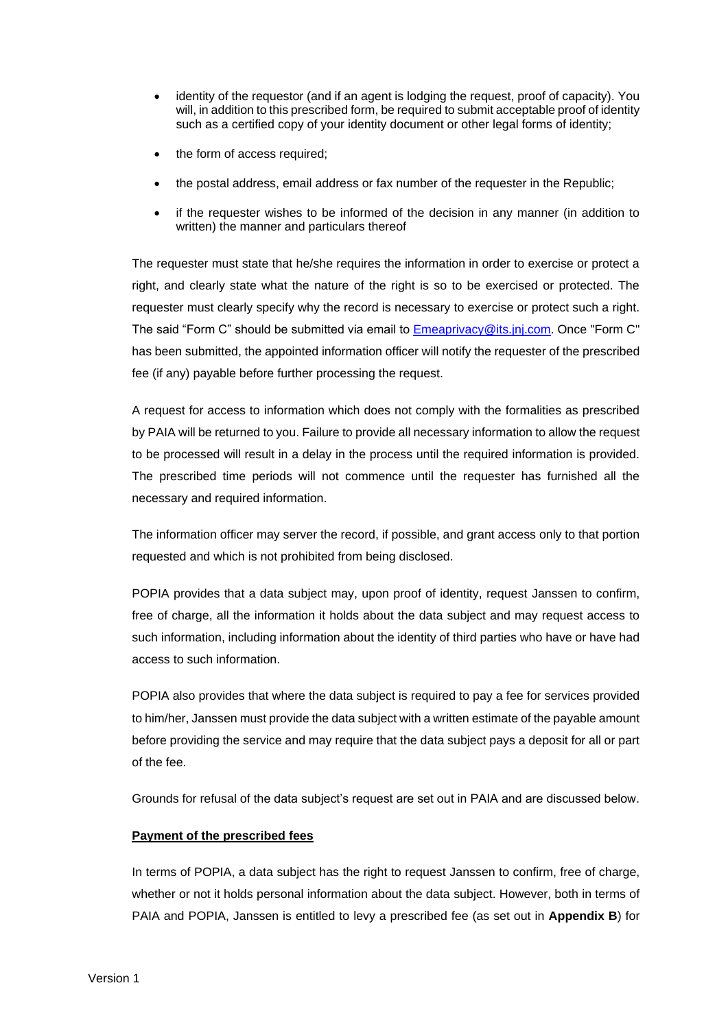- identity of the requestor (and if an agent is lodging the request, proof of capacity). You will, in addition to this prescribed form, be required to submit acceptable proof of identity such as a certified copy of your identity document or other legal forms of identity;
- the form of access required;
- the postal address, email address or fax number of the requester in the Republic;
- if the requester wishes to be informed of the decision in any manner (in addition to written) the manner and particulars thereof

The requester must state that he/she requires the information in order to exercise or protect a right, and clearly state what the nature of the right is so to be exercised or protected. The requester must clearly specify why the record is necessary to exercise or protect such a right. The said "Form C" should be submitted via email to [Emeaprivacy@its.jnj.com.](mailto:Emeaprivacy@its.jnj.com) Once "Form C" has been submitted, the appointed information officer will notify the requester of the prescribed fee (if any) payable before further processing the request.

A request for access to information which does not comply with the formalities as prescribed by PAIA will be returned to you. Failure to provide all necessary information to allow the request to be processed will result in a delay in the process until the required information is provided. The prescribed time periods will not commence until the requester has furnished all the necessary and required information.

The information officer may server the record, if possible, and grant access only to that portion requested and which is not prohibited from being disclosed.

POPIA provides that a data subject may, upon proof of identity, request Janssen to confirm, free of charge, all the information it holds about the data subject and may request access to such information, including information about the identity of third parties who have or have had access to such information.

POPIA also provides that where the data subject is required to pay a fee for services provided to him/her, Janssen must provide the data subject with a written estimate of the payable amount before providing the service and may require that the data subject pays a deposit for all or part of the fee.

Grounds for refusal of the data subject's request are set out in PAIA and are discussed below.

## **Payment of the prescribed fees**

In terms of POPIA, a data subject has the right to request Janssen to confirm, free of charge, whether or not it holds personal information about the data subject. However, both in terms of PAIA and POPIA, Janssen is entitled to levy a prescribed fee (as set out in **Appendix B**) for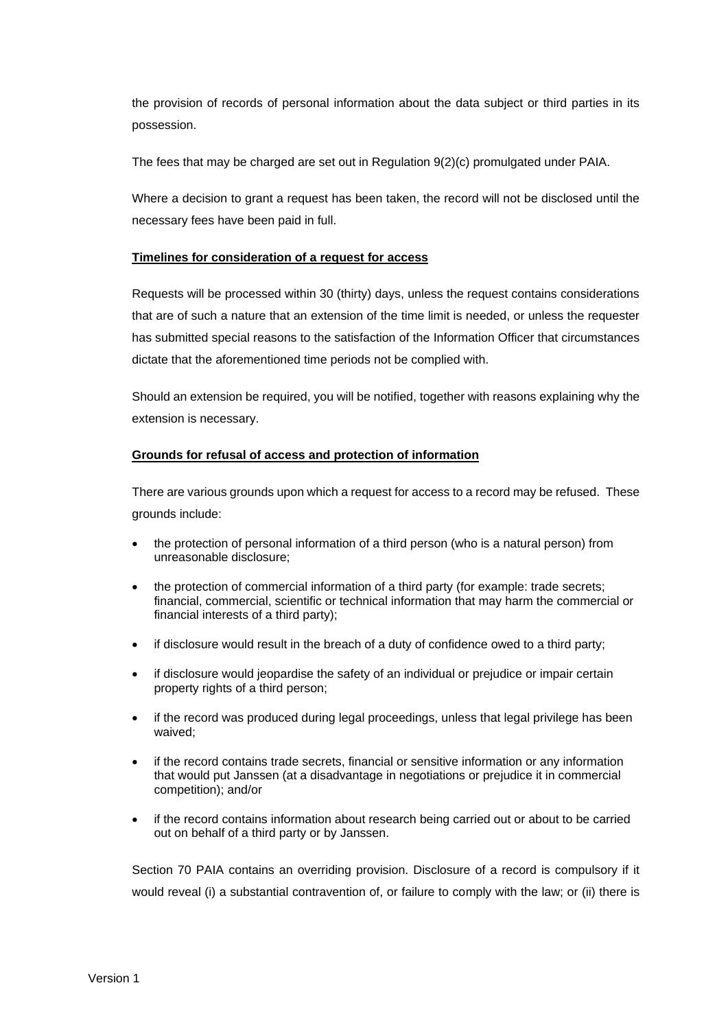the provision of records of personal information about the data subject or third parties in its possession.

The fees that may be charged are set out in Regulation 9(2)(c) promulgated under PAIA.

Where a decision to grant a request has been taken, the record will not be disclosed until the necessary fees have been paid in full.

#### **Timelines for consideration of a request for access**

Requests will be processed within 30 (thirty) days, unless the request contains considerations that are of such a nature that an extension of the time limit is needed, or unless the requester has submitted special reasons to the satisfaction of the Information Officer that circumstances dictate that the aforementioned time periods not be complied with.

Should an extension be required, you will be notified, together with reasons explaining why the extension is necessary.

#### **Grounds for refusal of access and protection of information**

There are various grounds upon which a request for access to a record may be refused. These grounds include:

- the protection of personal information of a third person (who is a natural person) from unreasonable disclosure;
- the protection of commercial information of a third party (for example: trade secrets; financial, commercial, scientific or technical information that may harm the commercial or financial interests of a third party);
- if disclosure would result in the breach of a duty of confidence owed to a third party;
- if disclosure would jeopardise the safety of an individual or prejudice or impair certain property rights of a third person;
- if the record was produced during legal proceedings, unless that legal privilege has been waived;
- if the record contains trade secrets, financial or sensitive information or any information that would put Janssen (at a disadvantage in negotiations or prejudice it in commercial competition); and/or
- if the record contains information about research being carried out or about to be carried out on behalf of a third party or by Janssen.

Section 70 PAIA contains an overriding provision. Disclosure of a record is compulsory if it would reveal (i) a substantial contravention of, or failure to comply with the law; or (ii) there is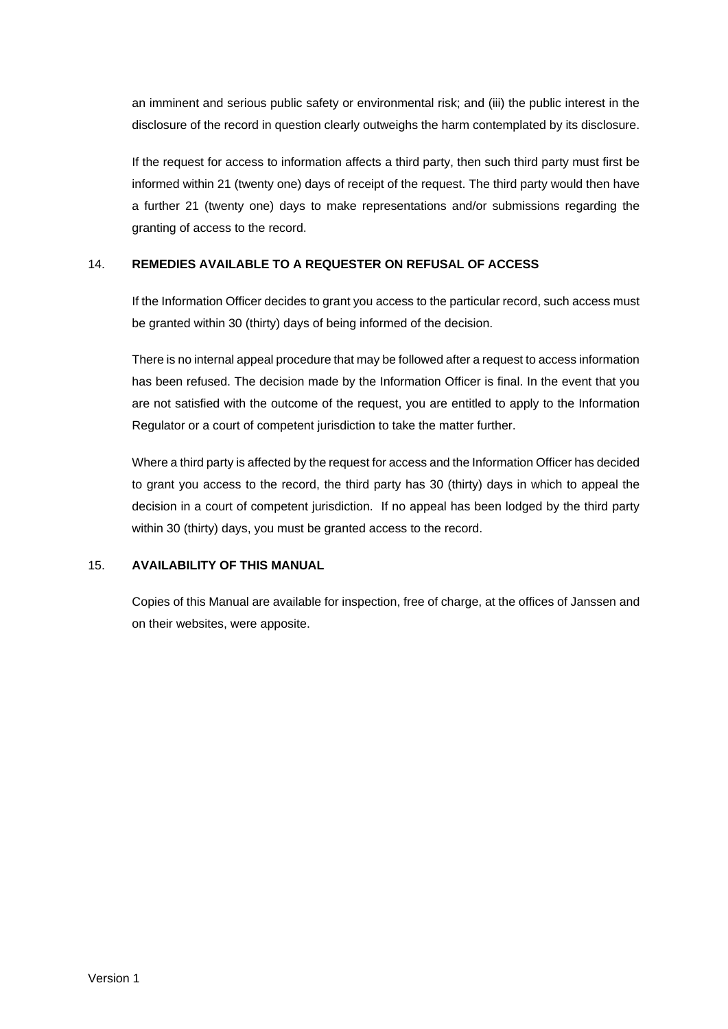an imminent and serious public safety or environmental risk; and (iii) the public interest in the disclosure of the record in question clearly outweighs the harm contemplated by its disclosure.

If the request for access to information affects a third party, then such third party must first be informed within 21 (twenty one) days of receipt of the request. The third party would then have a further 21 (twenty one) days to make representations and/or submissions regarding the granting of access to the record.

## <span id="page-13-0"></span>14. **REMEDIES AVAILABLE TO A REQUESTER ON REFUSAL OF ACCESS**

If the Information Officer decides to grant you access to the particular record, such access must be granted within 30 (thirty) days of being informed of the decision.

There is no internal appeal procedure that may be followed after a request to access information has been refused. The decision made by the Information Officer is final. In the event that you are not satisfied with the outcome of the request, you are entitled to apply to the Information Regulator or a court of competent jurisdiction to take the matter further.

Where a third party is affected by the request for access and the Information Officer has decided to grant you access to the record, the third party has 30 (thirty) days in which to appeal the decision in a court of competent jurisdiction. If no appeal has been lodged by the third party within 30 (thirty) days, you must be granted access to the record.

## <span id="page-13-1"></span>15. **AVAILABILITY OF THIS MANUAL**

Copies of this Manual are available for inspection, free of charge, at the offices of Janssen and on their websites, were apposite.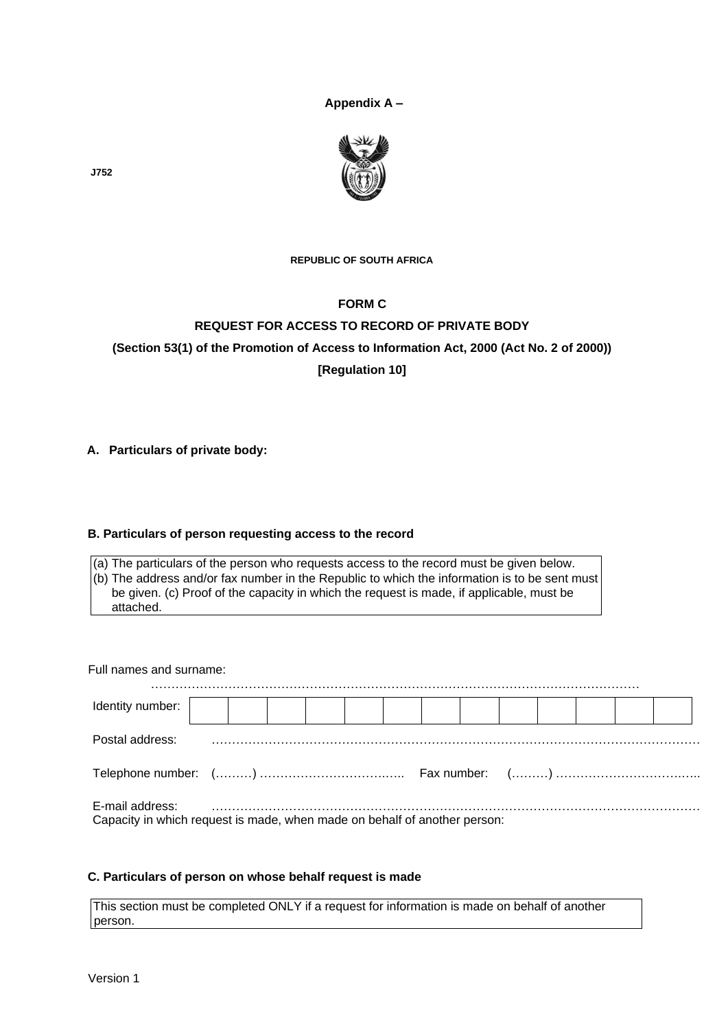**Appendix A –**



**REPUBLIC OF SOUTH AFRICA** 

## **FORM C**

# **REQUEST FOR ACCESS TO RECORD OF PRIVATE BODY (Section 53(1) of the Promotion of Access to Information Act, 2000 (Act No. 2 of 2000)) [Regulation 10]**

## **A. Particulars of private body:**

### <span id="page-14-0"></span>**B. Particulars of person requesting access to the record**

(a) The particulars of the person who requests access to the record must be given below.  $(6)$  The address and/or fax number in the Republic to which the information is to be sent must be given. (c) Proof of the capacity in which the request is made, if applicable, must be attached.

Full names and surname:

| Identity number:                                                                             |  |  |  |  |  |  |  |  |  |  |  |
|----------------------------------------------------------------------------------------------|--|--|--|--|--|--|--|--|--|--|--|
| Postal address:                                                                              |  |  |  |  |  |  |  |  |  |  |  |
|                                                                                              |  |  |  |  |  |  |  |  |  |  |  |
| E-mail address:<br>Capacity in which request is made, when made on behalf of another person: |  |  |  |  |  |  |  |  |  |  |  |

### <span id="page-14-1"></span>**C. Particulars of person on whose behalf request is made**

This section must be completed ONLY if a request for information is made on behalf of another person.

**J752**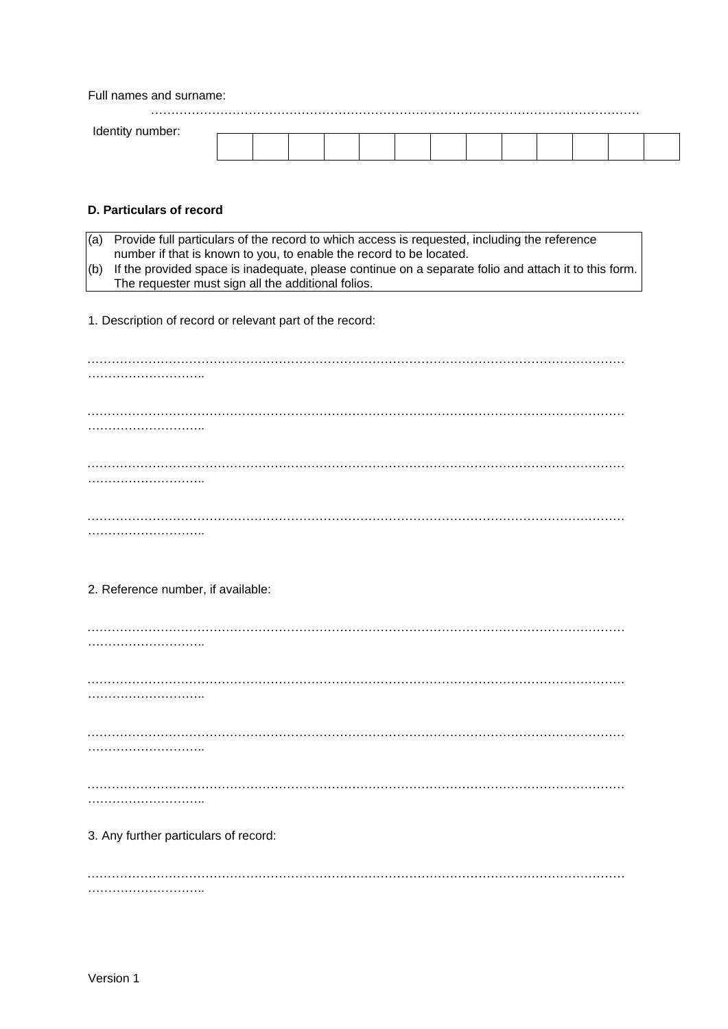Full names and surname:

<span id="page-15-0"></span>

| <b>Identity</b><br>number: |  |  |  |  |  |  |  |
|----------------------------|--|--|--|--|--|--|--|
|                            |  |  |  |  |  |  |  |

### **D. Particulars of record**

| $(a)$ Provide full particulars of the record to which access is requested, including the reference         |
|------------------------------------------------------------------------------------------------------------|
| number if that is known to you, to enable the record to be located.                                        |
| $(6)$ If the provided space is inadequate, please continue on a separate folio and attach it to this form. |
| The requester must sign all the additional folios.                                                         |

1. Description of record or relevant part of the record:

| 2. Reference number, if available:    |
|---------------------------------------|
|                                       |
|                                       |
|                                       |
|                                       |
|                                       |
| .                                     |
|                                       |
|                                       |
|                                       |
| 3. Any further particulars of record: |
|                                       |
|                                       |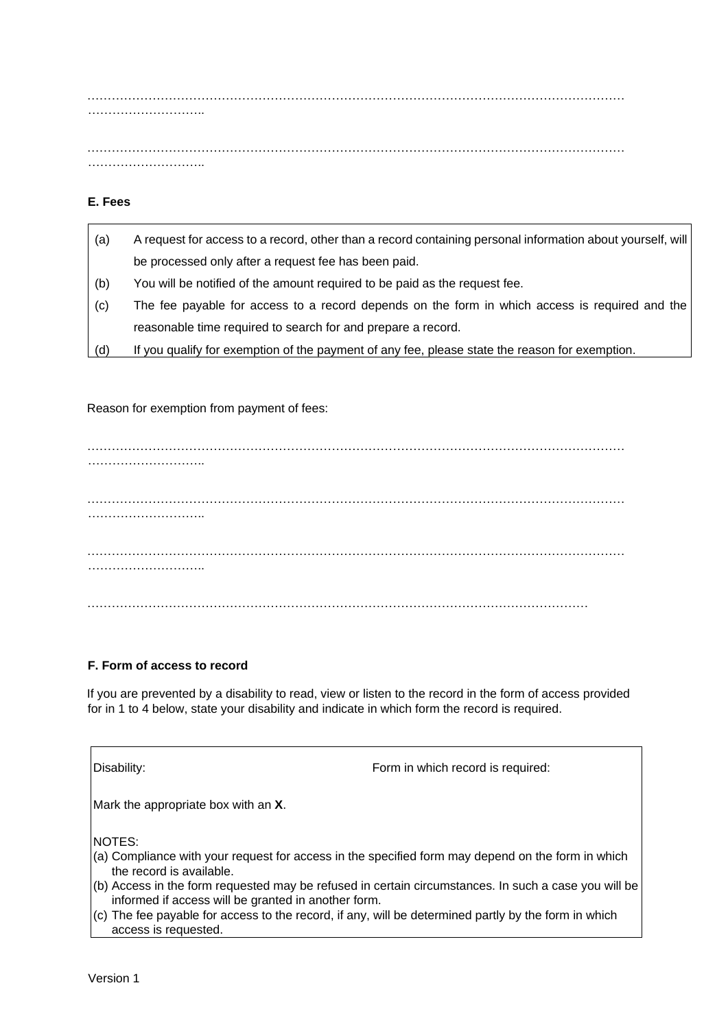…………………………………………………………………………………………………………………… ………………………..

…………………………………………………………………………………………………………………… ………………………..

## <span id="page-16-0"></span>**E. Fees**

| (a) | A request for access to a record, other than a record containing personal information about yourself, will |
|-----|------------------------------------------------------------------------------------------------------------|
|     | be processed only after a request fee has been paid.                                                       |
| (b) | You will be notified of the amount required to be paid as the request fee.                                 |
| (c) | The fee payable for access to a record depends on the form in which access is required and the             |
|     | reasonable time required to search for and prepare a record.                                               |
| (d) | If you qualify for exemption of the payment of any fee, please state the reason for exemption.             |

#### Reason for exemption from payment of fees:

…………………………………………………………………………………………………………………… ……………………….. …………………………………………………………………………………………………………………… ……………………….. …………………………………………………………………………………………………………………… …………………………………… ……………………………………………………………………………………………………………

#### **F. Form of access to record**

If you are prevented by a disability to read, view or listen to the record in the form of access provided for in 1 to 4 below, state your disability and indicate in which form the record is required.

Disability:  $\blacksquare$  Disability:

Mark the appropriate box with an **X**.

NOTES:

- (a) Compliance with your request for access in the specified form may depend on the form in which the record is available.
- (b) Access in the form requested may be refused in certain circumstances. In such a case you will be informed if access will be granted in another form.
- (c) The fee payable for access to the record, if any, will be determined partly by the form in which access is requested.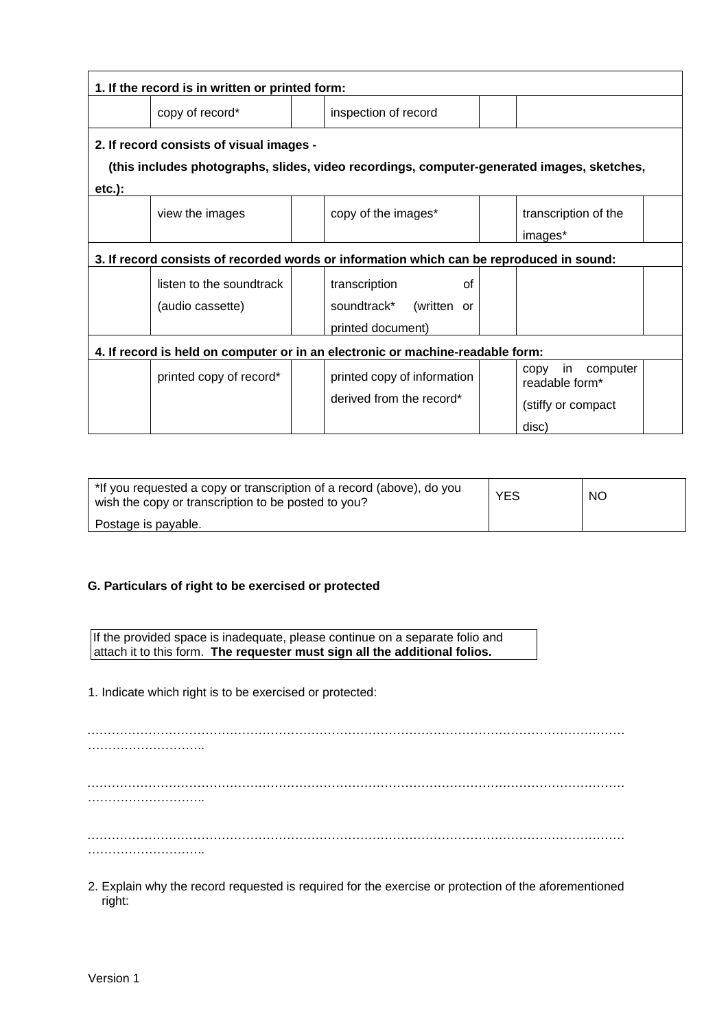| 1. If the record is in written or printed form:                                            |                          |  |                                                                                          |  |                                          |  |  |  |  |
|--------------------------------------------------------------------------------------------|--------------------------|--|------------------------------------------------------------------------------------------|--|------------------------------------------|--|--|--|--|
|                                                                                            | copy of record*          |  | inspection of record                                                                     |  |                                          |  |  |  |  |
| 2. If record consists of visual images -                                                   |                          |  |                                                                                          |  |                                          |  |  |  |  |
| (this includes photographs, slides, video recordings, computer-generated images, sketches, |                          |  |                                                                                          |  |                                          |  |  |  |  |
| $etc.$ ):                                                                                  |                          |  |                                                                                          |  |                                          |  |  |  |  |
|                                                                                            | view the images          |  | copy of the images*                                                                      |  | transcription of the                     |  |  |  |  |
|                                                                                            |                          |  |                                                                                          |  | images*                                  |  |  |  |  |
|                                                                                            |                          |  | 3. If record consists of recorded words or information which can be reproduced in sound: |  |                                          |  |  |  |  |
|                                                                                            | listen to the soundtrack |  | transcription<br>Ωf                                                                      |  |                                          |  |  |  |  |
|                                                                                            | (audio cassette)         |  | (written or<br>soundtrack*                                                               |  |                                          |  |  |  |  |
|                                                                                            |                          |  | printed document)                                                                        |  |                                          |  |  |  |  |
| 4. If record is held on computer or in an electronic or machine-readable form:             |                          |  |                                                                                          |  |                                          |  |  |  |  |
|                                                                                            | printed copy of record*  |  | printed copy of information                                                              |  | in<br>computer<br>copy<br>readable form* |  |  |  |  |
|                                                                                            |                          |  | derived from the record*                                                                 |  | (stiffy or compact)                      |  |  |  |  |
|                                                                                            |                          |  |                                                                                          |  | disc)                                    |  |  |  |  |

| *If you requested a copy or transcription of a record (above), do you<br>wish the copy or transcription to be posted to you? | <b>YES</b> | <b>NO</b> |
|------------------------------------------------------------------------------------------------------------------------------|------------|-----------|
| Postage is payable.                                                                                                          |            |           |

### **G. Particulars of right to be exercised or protected**

If the provided space is inadequate, please continue on a separate folio and attach it to this form. **The requester must sign all the additional folios.** 

1. Indicate which right is to be exercised or protected:

…………………………………………………………………………………………………………………… ……………………….. …………………………………………………………………………………………………………………… ……………………….. …………………………………………………………………………………………………………………… ………………………..

2. Explain why the record requested is required for the exercise or protection of the aforementioned right: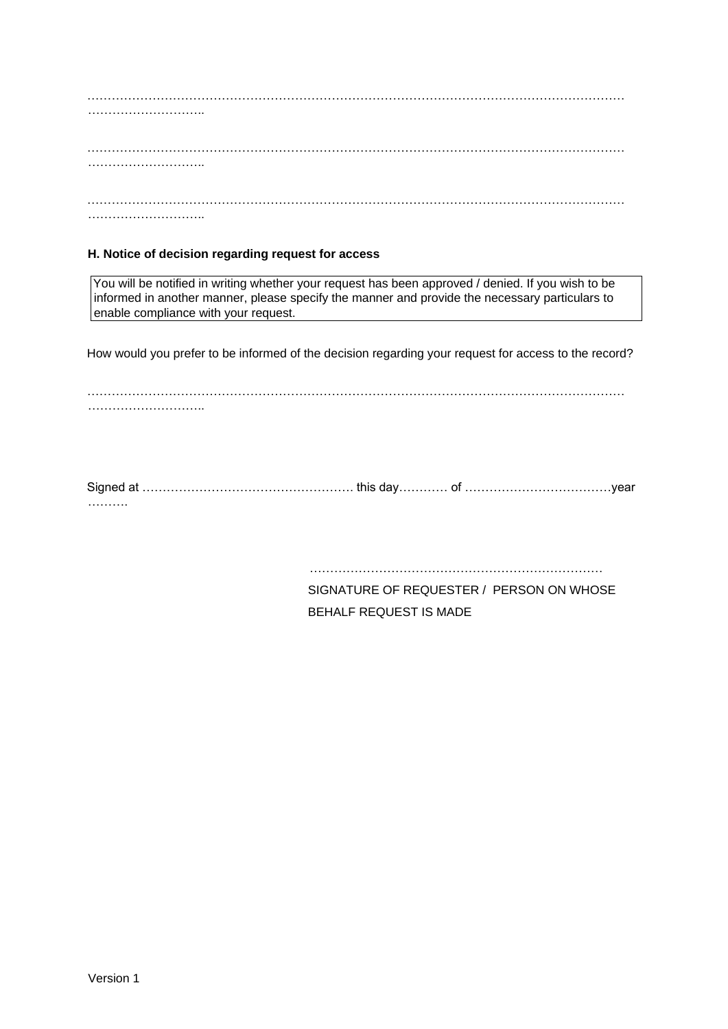#### **H. Notice of decision regarding request for access**

You will be notified in writing whether your request has been approved / denied. If you wish to be informed in another manner, please specify the manner and provide the necessary particulars to enable compliance with your request.

How would you prefer to be informed of the decision regarding your request for access to the record?

…………………………………………………………………………………………………………………… …………………………………

Signed at ……………………………………………. this day………… of ………………………………year ……….

> ……………………………………………………………… SIGNATURE OF REQUESTER / PERSON ON WHOSE BEHALF REQUEST IS MADE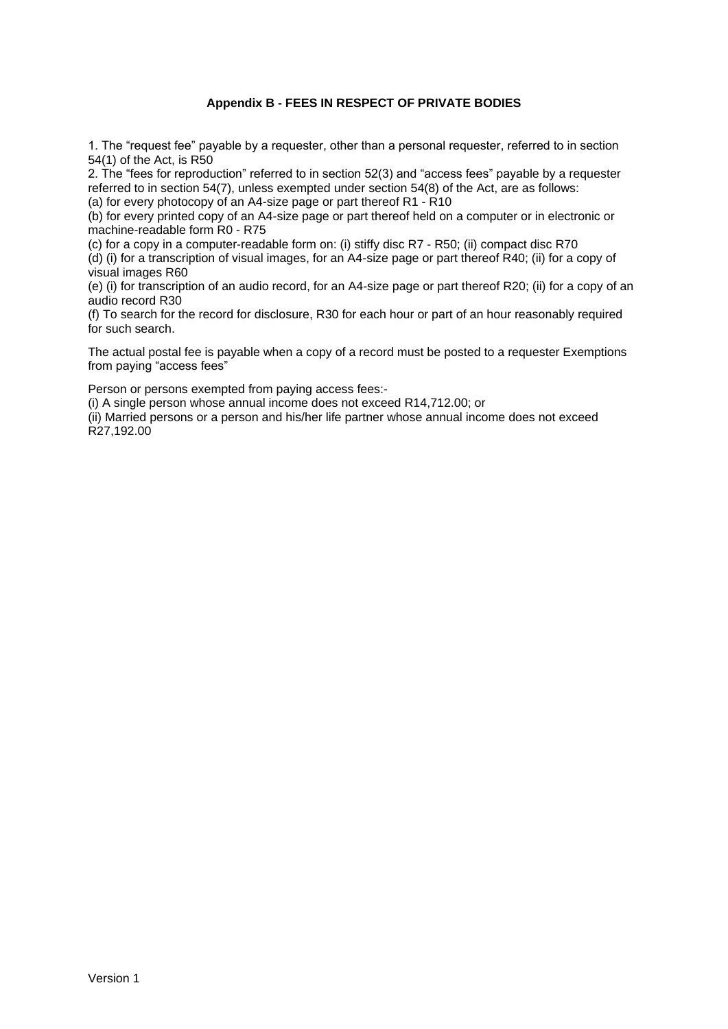## **Appendix B - FEES IN RESPECT OF PRIVATE BODIES**

1. The "request fee" payable by a requester, other than a personal requester, referred to in section 54(1) of the Act, is R50

2. The "fees for reproduction" referred to in section 52(3) and "access fees" payable by a requester referred to in section 54(7), unless exempted under section 54(8) of the Act, are as follows: (a) for every photocopy of an A4-size page or part thereof R1 - R10

(b) for every printed copy of an A4-size page or part thereof held on a computer or in electronic or machine-readable form R0 - R75

(c) for a copy in a computer-readable form on: (i) stiffy disc R7 - R50; (ii) compact disc R70

(d) (i) for a transcription of visual images, for an A4-size page or part thereof R40; (ii) for a copy of visual images R60

(e) (i) for transcription of an audio record, for an A4-size page or part thereof R20; (ii) for a copy of an audio record R30

(f) To search for the record for disclosure, R30 for each hour or part of an hour reasonably required for such search.

The actual postal fee is payable when a copy of a record must be posted to a requester Exemptions from paying "access fees"

Person or persons exempted from paying access fees:-

(i) A single person whose annual income does not exceed R14,712.00; or

(ii) Married persons or a person and his/her life partner whose annual income does not exceed R27,192.00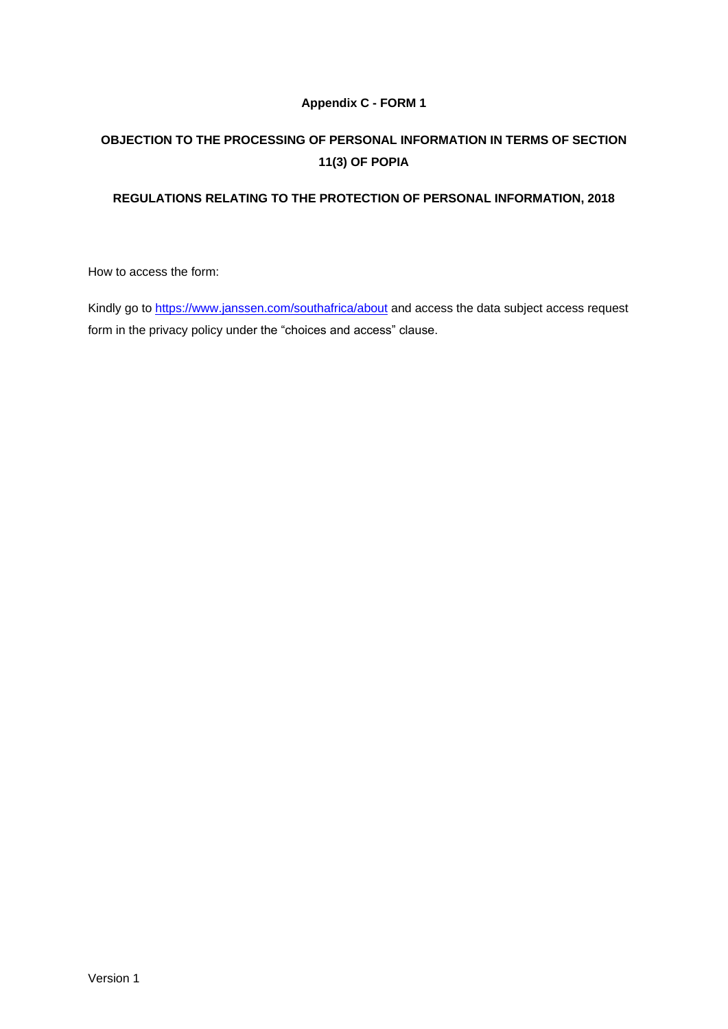## **Appendix C - FORM 1**

# **OBJECTION TO THE PROCESSING OF PERSONAL INFORMATION IN TERMS OF SECTION 11(3) OF POPIA**

## **REGULATIONS RELATING TO THE PROTECTION OF PERSONAL INFORMATION, 2018**

How to access the form:

Kindly go to <https://www.janssen.com/southafrica/about> and access the data subject access request form in the privacy policy under the "choices and access" clause.